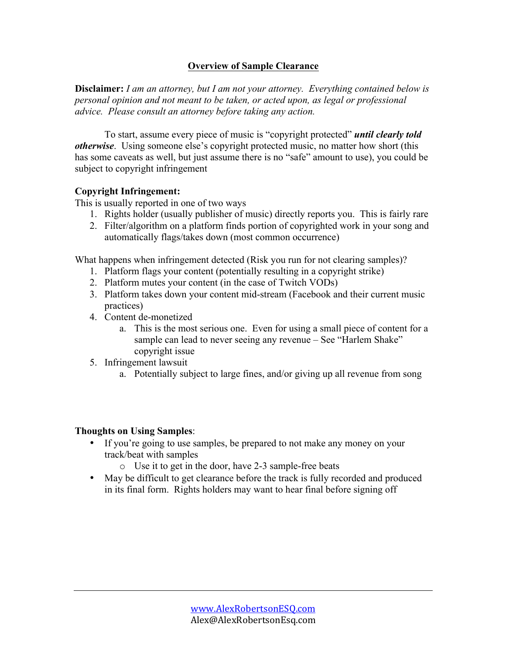#### **Overview of Sample Clearance**

**Disclaimer:** *I am an attorney, but I am not your attorney. Everything contained below is personal opinion and not meant to be taken, or acted upon, as legal or professional advice. Please consult an attorney before taking any action.*

To start, assume every piece of music is "copyright protected" *until clearly told otherwise*. Using someone else's copyright protected music, no matter how short (this has some caveats as well, but just assume there is no "safe" amount to use), you could be subject to copyright infringement

#### **Copyright Infringement:**

This is usually reported in one of two ways

- 1. Rights holder (usually publisher of music) directly reports you. This is fairly rare
- 2. Filter/algorithm on a platform finds portion of copyrighted work in your song and automatically flags/takes down (most common occurrence)

What happens when infringement detected (Risk you run for not clearing samples)?

- 1. Platform flags your content (potentially resulting in a copyright strike)
- 2. Platform mutes your content (in the case of Twitch VODs)
- 3. Platform takes down your content mid-stream (Facebook and their current music practices)
- 4. Content de-monetized
	- a. This is the most serious one. Even for using a small piece of content for a sample can lead to never seeing any revenue – See "Harlem Shake" copyright issue
- 5. Infringement lawsuit
	- a. Potentially subject to large fines, and/or giving up all revenue from song

#### **Thoughts on Using Samples**:

- If you're going to use samples, be prepared to not make any money on your track/beat with samples
	- o Use it to get in the door, have 2-3 sample-free beats
- May be difficult to get clearance before the track is fully recorded and produced in its final form. Rights holders may want to hear final before signing off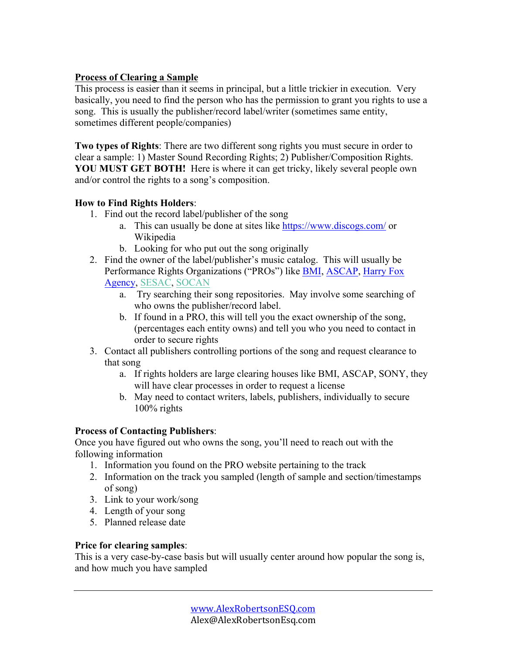## **Process of Clearing a Sample**

This process is easier than it seems in principal, but a little trickier in execution. Very basically, you need to find the person who has the permission to grant you rights to use a song. This is usually the publisher/record label/writer (sometimes same entity, sometimes different people/companies)

**Two types of Rights**: There are two different song rights you must secure in order to clear a sample: 1) Master Sound Recording Rights; 2) Publisher/Composition Rights. **YOU MUST GET BOTH!** Here is where it can get tricky, likely several people own and/or control the rights to a song's composition.

## **How to Find Rights Holders**:

- 1. Find out the record label/publisher of the song
	- a. This can usually be done at sites like https://www.discogs.com/ or Wikipedia
	- b. Looking for who put out the song originally
- 2. Find the owner of the label/publisher's music catalog. This will usually be Performance Rights Organizations ("PROs") like BMI, ASCAP, Harry Fox Agency, SESAC, SOCAN
	- a. Try searching their song repositories. May involve some searching of who owns the publisher/record label.
	- b. If found in a PRO, this will tell you the exact ownership of the song, (percentages each entity owns) and tell you who you need to contact in order to secure rights
- 3. Contact all publishers controlling portions of the song and request clearance to that song
	- a. If rights holders are large clearing houses like BMI, ASCAP, SONY, they will have clear processes in order to request a license
	- b. May need to contact writers, labels, publishers, individually to secure 100% rights

## **Process of Contacting Publishers**:

Once you have figured out who owns the song, you'll need to reach out with the following information

- 1. Information you found on the PRO website pertaining to the track
- 2. Information on the track you sampled (length of sample and section/timestamps of song)
- 3. Link to your work/song
- 4. Length of your song
- 5. Planned release date

## **Price for clearing samples**:

This is a very case-by-case basis but will usually center around how popular the song is, and how much you have sampled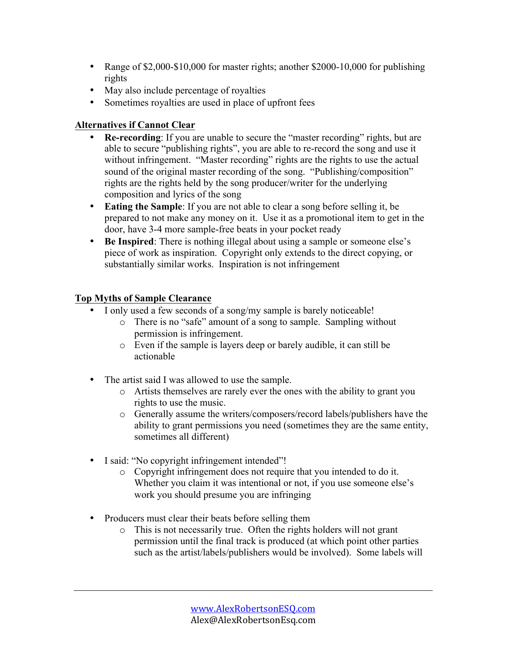- Range of \$2,000-\$10,000 for master rights; another \$2000-10,000 for publishing rights
- May also include percentage of royalties
- Sometimes royalties are used in place of upfront fees

## **Alternatives if Cannot Clear**

- **Re-recording**: If you are unable to secure the "master recording" rights, but are able to secure "publishing rights", you are able to re-record the song and use it without infringement. "Master recording" rights are the rights to use the actual sound of the original master recording of the song. "Publishing/composition" rights are the rights held by the song producer/writer for the underlying composition and lyrics of the song
- **Eating the Sample**: If you are not able to clear a song before selling it, be prepared to not make any money on it. Use it as a promotional item to get in the door, have 3-4 more sample-free beats in your pocket ready
- **Be Inspired**: There is nothing illegal about using a sample or someone else's piece of work as inspiration. Copyright only extends to the direct copying, or substantially similar works. Inspiration is not infringement

# **Top Myths of Sample Clearance**

- I only used a few seconds of a song/my sample is barely noticeable!
	- o There is no "safe" amount of a song to sample. Sampling without permission is infringement.
	- o Even if the sample is layers deep or barely audible, it can still be actionable
- The artist said I was allowed to use the sample.
	- o Artists themselves are rarely ever the ones with the ability to grant you rights to use the music.
	- o Generally assume the writers/composers/record labels/publishers have the ability to grant permissions you need (sometimes they are the same entity, sometimes all different)
- I said: "No copyright infringement intended"!
	- o Copyright infringement does not require that you intended to do it. Whether you claim it was intentional or not, if you use someone else's work you should presume you are infringing
- Producers must clear their beats before selling them
	- o This is not necessarily true. Often the rights holders will not grant permission until the final track is produced (at which point other parties such as the artist/labels/publishers would be involved). Some labels will